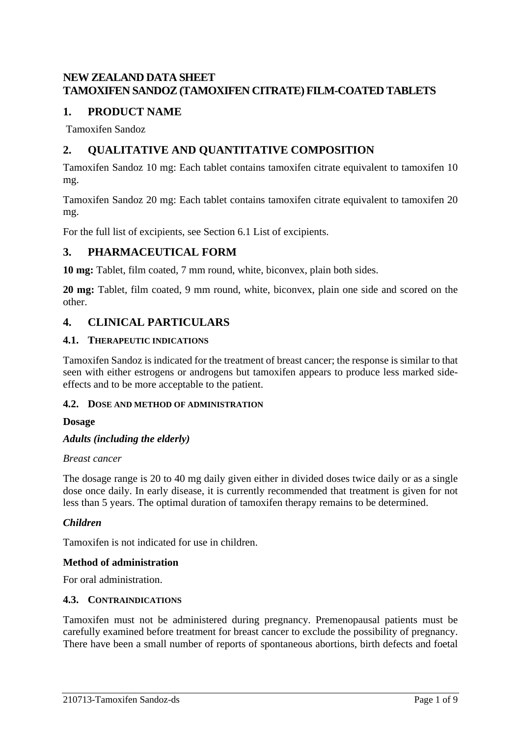# **NEW ZEALAND DATA SHEET TAMOXIFEN SANDOZ (TAMOXIFEN CITRATE) FILM-COATED TABLETS**

## **1. PRODUCT NAME**

Tamoxifen Sandoz

# **2. QUALITATIVE AND QUANTITATIVE COMPOSITION**

Tamoxifen Sandoz 10 mg: Each tablet contains tamoxifen citrate equivalent to tamoxifen 10 mg.

Tamoxifen Sandoz 20 mg: Each tablet contains tamoxifen citrate equivalent to tamoxifen 20 mg.

For the full list of excipients, see Section [6.1](#page-8-0) [List of excipients.](#page-8-0)

## **3. PHARMACEUTICAL FORM**

**10 mg:** Tablet, film coated, 7 mm round, white, biconvex, plain both sides.

**20 mg:** Tablet, film coated, 9 mm round, white, biconvex, plain one side and scored on the other.

# **4. CLINICAL PARTICULARS**

## **4.1. THERAPEUTIC INDICATIONS**

Tamoxifen Sandoz is indicated for the treatment of breast cancer; the response is similar to that seen with either estrogens or androgens but tamoxifen appears to produce less marked sideeffects and to be more acceptable to the patient.

## <span id="page-0-0"></span>**4.2. DOSE AND METHOD OF ADMINISTRATION**

#### **Dosage**

## *Adults (including the elderly)*

#### *Breast cancer*

The dosage range is 20 to 40 mg daily given either in divided doses twice daily or as a single dose once daily. In early disease, it is currently recommended that treatment is given for not less than 5 years. The optimal duration of tamoxifen therapy remains to be determined.

## *Children*

Tamoxifen is not indicated for use in children.

#### **Method of administration**

For oral administration.

### **4.3. CONTRAINDICATIONS**

Tamoxifen must not be administered during pregnancy. Premenopausal patients must be carefully examined before treatment for breast cancer to exclude the possibility of pregnancy. There have been a small number of reports of spontaneous abortions, birth defects and foetal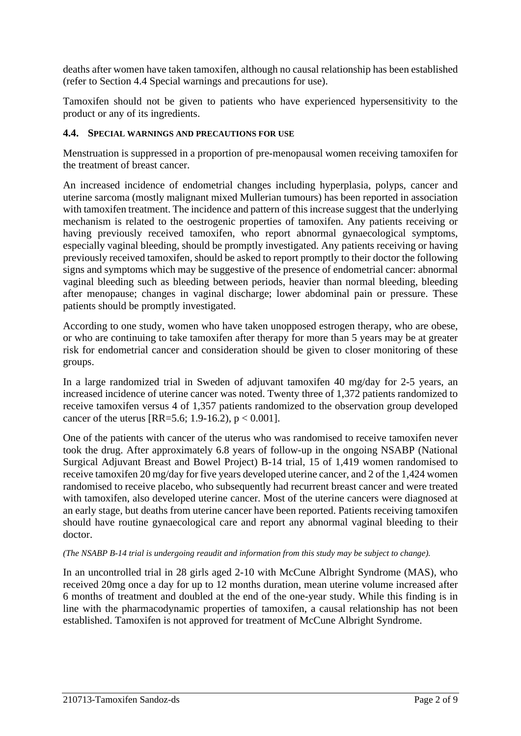deaths after women have taken tamoxifen, although no causal relationship has been established (refer to Section [4.4](#page-1-0) [Special warnings and precautions for use\)](#page-1-0).

Tamoxifen should not be given to patients who have experienced hypersensitivity to the product or any of its ingredients.

### <span id="page-1-0"></span>**4.4. SPECIAL WARNINGS AND PRECAUTIONS FOR USE**

Menstruation is suppressed in a proportion of pre-menopausal women receiving tamoxifen for the treatment of breast cancer.

An increased incidence of endometrial changes including hyperplasia, polyps, cancer and uterine sarcoma (mostly malignant mixed Mullerian tumours) has been reported in association with tamoxifen treatment. The incidence and pattern of this increase suggest that the underlying mechanism is related to the oestrogenic properties of tamoxifen. Any patients receiving or having previously received tamoxifen, who report abnormal gynaecological symptoms, especially vaginal bleeding, should be promptly investigated. Any patients receiving or having previously received tamoxifen, should be asked to report promptly to their doctor the following signs and symptoms which may be suggestive of the presence of endometrial cancer: abnormal vaginal bleeding such as bleeding between periods, heavier than normal bleeding, bleeding after menopause; changes in vaginal discharge; lower abdominal pain or pressure. These patients should be promptly investigated.

According to one study, women who have taken unopposed estrogen therapy, who are obese, or who are continuing to take tamoxifen after therapy for more than 5 years may be at greater risk for endometrial cancer and consideration should be given to closer monitoring of these groups.

In a large randomized trial in Sweden of adjuvant tamoxifen 40 mg/day for 2-5 years, an increased incidence of uterine cancer was noted. Twenty three of 1,372 patients randomized to receive tamoxifen versus 4 of 1,357 patients randomized to the observation group developed cancer of the uterus [RR=5.6; 1.9-16.2),  $p < 0.001$ ].

One of the patients with cancer of the uterus who was randomised to receive tamoxifen never took the drug. After approximately 6.8 years of follow-up in the ongoing NSABP (National Surgical Adjuvant Breast and Bowel Project) B-14 trial, 15 of 1,419 women randomised to receive tamoxifen 20 mg/day for five years developed uterine cancer, and 2 of the 1,424 women randomised to receive placebo, who subsequently had recurrent breast cancer and were treated with tamoxifen, also developed uterine cancer. Most of the uterine cancers were diagnosed at an early stage, but deaths from uterine cancer have been reported. Patients receiving tamoxifen should have routine gynaecological care and report any abnormal vaginal bleeding to their doctor.

#### *(The NSABP B-14 trial is undergoing reaudit and information from this study may be subject to change).*

In an uncontrolled trial in 28 girls aged 2-10 with McCune Albright Syndrome (MAS), who received 20mg once a day for up to 12 months duration, mean uterine volume increased after 6 months of treatment and doubled at the end of the one-year study. While this finding is in line with the pharmacodynamic properties of tamoxifen, a causal relationship has not been established. Tamoxifen is not approved for treatment of McCune Albright Syndrome.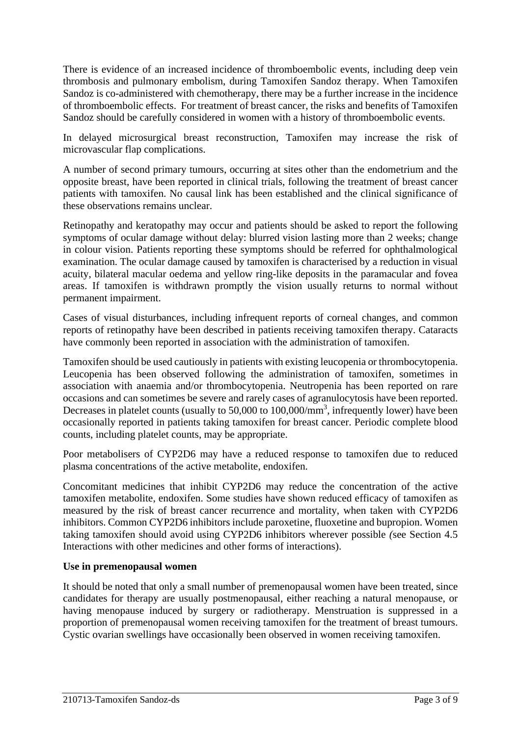There is evidence of an increased incidence of thromboembolic events, including deep vein thrombosis and pulmonary embolism, during Tamoxifen Sandoz therapy. When Tamoxifen Sandoz is co-administered with chemotherapy, there may be a further increase in the incidence of thromboembolic effects. For treatment of breast cancer, the risks and benefits of Tamoxifen Sandoz should be carefully considered in women with a history of thromboembolic events.

In delayed microsurgical breast reconstruction, Tamoxifen may increase the risk of microvascular flap complications.

A number of second primary tumours, occurring at sites other than the endometrium and the opposite breast, have been reported in clinical trials, following the treatment of breast cancer patients with tamoxifen. No causal link has been established and the clinical significance of these observations remains unclear.

Retinopathy and keratopathy may occur and patients should be asked to report the following symptoms of ocular damage without delay: blurred vision lasting more than 2 weeks; change in colour vision. Patients reporting these symptoms should be referred for ophthalmological examination. The ocular damage caused by tamoxifen is characterised by a reduction in visual acuity, bilateral macular oedema and yellow ring-like deposits in the paramacular and fovea areas. If tamoxifen is withdrawn promptly the vision usually returns to normal without permanent impairment.

Cases of visual disturbances, including infrequent reports of corneal changes, and common reports of retinopathy have been described in patients receiving tamoxifen therapy. Cataracts have commonly been reported in association with the administration of tamoxifen.

Tamoxifen should be used cautiously in patients with existing leucopenia or thrombocytopenia. Leucopenia has been observed following the administration of tamoxifen, sometimes in association with anaemia and/or thrombocytopenia. Neutropenia has been reported on rare occasions and can sometimes be severe and rarely cases of agranulocytosis have been reported. Decreases in platelet counts (usually to 50,000 to 100,000/mm<sup>3</sup>, infrequently lower) have been occasionally reported in patients taking tamoxifen for breast cancer. Periodic complete blood counts, including platelet counts, may be appropriate.

Poor metabolisers of CYP2D6 may have a reduced response to tamoxifen due to reduced plasma concentrations of the active metabolite, endoxifen.

Concomitant medicines that inhibit CYP2D6 may reduce the concentration of the active tamoxifen metabolite, endoxifen. Some studies have shown reduced efficacy of tamoxifen as measured by the risk of breast cancer recurrence and mortality, when taken with CYP2D6 inhibitors. Common CYP2D6 inhibitors include paroxetine, fluoxetine and bupropion. Women taking tamoxifen should avoid using CYP2D6 inhibitors wherever possible *(*see Section [4.5](#page-3-0) Interactions with other [medicines and other forms of interactions\)](#page-3-0).

## **Use in premenopausal women**

It should be noted that only a small number of premenopausal women have been treated, since candidates for therapy are usually postmenopausal, either reaching a natural menopause, or having menopause induced by surgery or radiotherapy. Menstruation is suppressed in a proportion of premenopausal women receiving tamoxifen for the treatment of breast tumours. Cystic ovarian swellings have occasionally been observed in women receiving tamoxifen.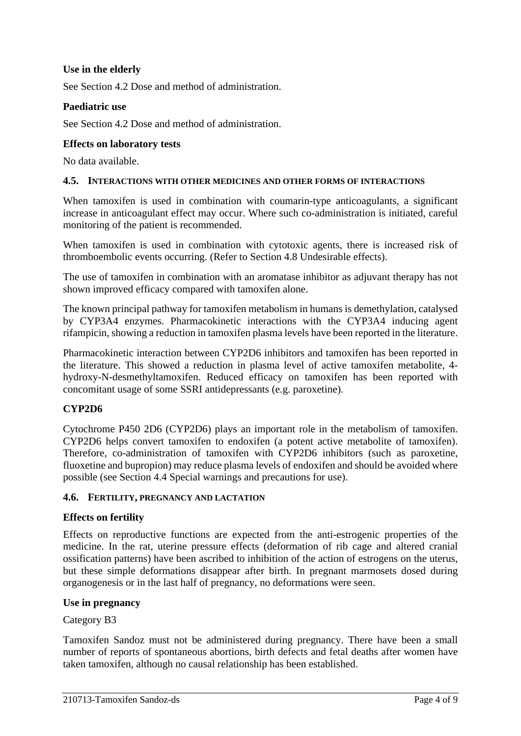## **Use in the elderly**

See Section [4.2](#page-0-0) [Dose and method of administration.](#page-0-0)

### **Paediatric use**

See Section [4.2](#page-0-0) [Dose and method of administration.](#page-0-0)

### **Effects on laboratory tests**

No data available.

#### <span id="page-3-0"></span>**4.5. INTERACTIONS WITH OTHER MEDICINES AND OTHER FORMS OF INTERACTIONS**

When tamoxifen is used in combination with coumarin-type anticoagulants, a significant increase in anticoagulant effect may occur. Where such co-administration is initiated, careful monitoring of the patient is recommended.

When tamoxifen is used in combination with cytotoxic agents, there is increased risk of thromboembolic events occurring. (Refer to Section [4.8](#page-4-0) [Undesirable effects\)](#page-4-0).

The use of tamoxifen in combination with an aromatase inhibitor as adjuvant therapy has not shown improved efficacy compared with tamoxifen alone.

The known principal pathway for tamoxifen metabolism in humans is demethylation, catalysed by CYP3A4 enzymes. Pharmacokinetic interactions with the CYP3A4 inducing agent rifampicin, showing a reduction in tamoxifen plasma levels have been reported in the literature.

Pharmacokinetic interaction between CYP2D6 inhibitors and tamoxifen has been reported in the literature. This showed a reduction in plasma level of active tamoxifen metabolite, 4 hydroxy-N-desmethyltamoxifen. Reduced efficacy on tamoxifen has been reported with concomitant usage of some SSRI antidepressants (e.g. paroxetine).

## **CYP2D6**

Cytochrome P450 2D6 (CYP2D6) plays an important role in the metabolism of tamoxifen. CYP2D6 helps convert tamoxifen to endoxifen (a potent active metabolite of tamoxifen). Therefore, co-administration of tamoxifen with CYP2D6 inhibitors (such as paroxetine, fluoxetine and bupropion) may reduce plasma levels of endoxifen and should be avoided where possible (see Section [4.4](#page-1-0) [Special warnings and precautions for use\)](#page-1-0).

#### **4.6. FERTILITY, PREGNANCY AND LACTATION**

#### **Effects on fertility**

Effects on reproductive functions are expected from the anti-estrogenic properties of the medicine. In the rat, uterine pressure effects (deformation of rib cage and altered cranial ossification patterns) have been ascribed to inhibition of the action of estrogens on the uterus, but these simple deformations disappear after birth. In pregnant marmosets dosed during organogenesis or in the last half of pregnancy, no deformations were seen.

#### **Use in pregnancy**

Category B3

Tamoxifen Sandoz must not be administered during pregnancy. There have been a small number of reports of spontaneous abortions, birth defects and fetal deaths after women have taken tamoxifen, although no causal relationship has been established.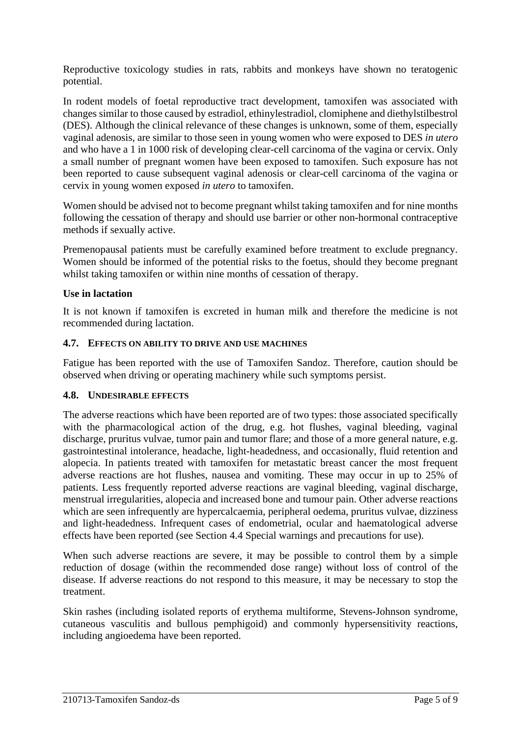Reproductive toxicology studies in rats, rabbits and monkeys have shown no teratogenic potential.

In rodent models of foetal reproductive tract development, tamoxifen was associated with changes similar to those caused by estradiol, ethinylestradiol, clomiphene and diethylstilbestrol (DES). Although the clinical relevance of these changes is unknown, some of them, especially vaginal adenosis, are similar to those seen in young women who were exposed to DES *in utero*  and who have a 1 in 1000 risk of developing clear-cell carcinoma of the vagina or cervix. Only a small number of pregnant women have been exposed to tamoxifen. Such exposure has not been reported to cause subsequent vaginal adenosis or clear-cell carcinoma of the vagina or cervix in young women exposed *in utero* to tamoxifen.

Women should be advised not to become pregnant whilst taking tamoxifen and for nine months following the cessation of therapy and should use barrier or other non-hormonal contraceptive methods if sexually active.

Premenopausal patients must be carefully examined before treatment to exclude pregnancy. Women should be informed of the potential risks to the foetus, should they become pregnant whilst taking tamoxifen or within nine months of cessation of therapy.

### **Use in lactation**

It is not known if tamoxifen is excreted in human milk and therefore the medicine is not recommended during lactation.

#### **4.7. EFFECTS ON ABILITY TO DRIVE AND USE MACHINES**

Fatigue has been reported with the use of Tamoxifen Sandoz. Therefore, caution should be observed when driving or operating machinery while such symptoms persist.

#### <span id="page-4-0"></span>**4.8. UNDESIRABLE EFFECTS**

The adverse reactions which have been reported are of two types: those associated specifically with the pharmacological action of the drug, e.g. hot flushes, vaginal bleeding, vaginal discharge, pruritus vulvae, tumor pain and tumor flare; and those of a more general nature, e.g. gastrointestinal intolerance, headache, light-headedness, and occasionally, fluid retention and alopecia. In patients treated with tamoxifen for metastatic breast cancer the most frequent adverse reactions are hot flushes, nausea and vomiting. These may occur in up to 25% of patients. Less frequently reported adverse reactions are vaginal bleeding, vaginal discharge, menstrual irregularities, alopecia and increased bone and tumour pain. Other adverse reactions which are seen infrequently are hypercalcaemia, peripheral oedema, pruritus vulvae, dizziness and light-headedness. Infrequent cases of endometrial, ocular and haematological adverse effects have been reported (see Section [4.4](#page-1-0) [Special warnings and precautions for use\)](#page-1-0).

When such adverse reactions are severe, it may be possible to control them by a simple reduction of dosage (within the recommended dose range) without loss of control of the disease. If adverse reactions do not respond to this measure, it may be necessary to stop the treatment.

Skin rashes (including isolated reports of erythema multiforme, Stevens-Johnson syndrome, cutaneous vasculitis and bullous pemphigoid) and commonly hypersensitivity reactions, including angioedema have been reported.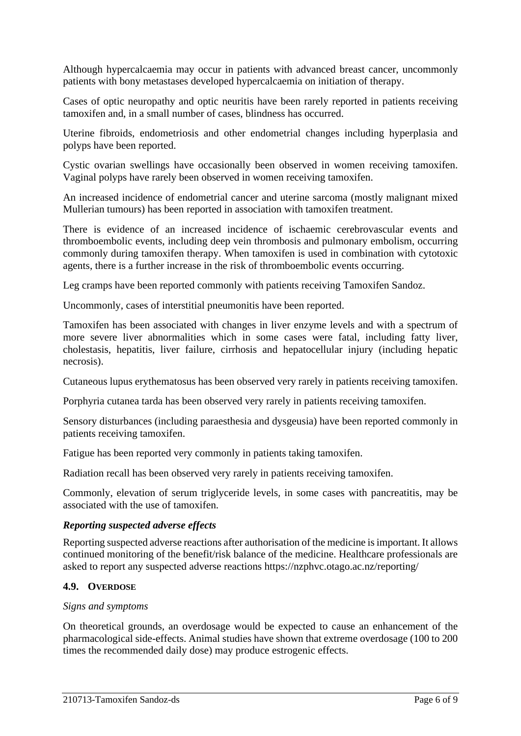Although hypercalcaemia may occur in patients with advanced breast cancer, uncommonly patients with bony metastases developed hypercalcaemia on initiation of therapy.

Cases of optic neuropathy and optic neuritis have been rarely reported in patients receiving tamoxifen and, in a small number of cases, blindness has occurred.

Uterine fibroids, endometriosis and other endometrial changes including hyperplasia and polyps have been reported.

Cystic ovarian swellings have occasionally been observed in women receiving tamoxifen. Vaginal polyps have rarely been observed in women receiving tamoxifen.

An increased incidence of endometrial cancer and uterine sarcoma (mostly malignant mixed Mullerian tumours) has been reported in association with tamoxifen treatment.

There is evidence of an increased incidence of ischaemic cerebrovascular events and thromboembolic events, including deep vein thrombosis and pulmonary embolism, occurring commonly during tamoxifen therapy. When tamoxifen is used in combination with cytotoxic agents, there is a further increase in the risk of thromboembolic events occurring.

Leg cramps have been reported commonly with patients receiving Tamoxifen Sandoz.

Uncommonly, cases of interstitial pneumonitis have been reported.

Tamoxifen has been associated with changes in liver enzyme levels and with a spectrum of more severe liver abnormalities which in some cases were fatal, including fatty liver, cholestasis, hepatitis, liver failure, cirrhosis and hepatocellular injury (including hepatic necrosis).

Cutaneous lupus erythematosus has been observed very rarely in patients receiving tamoxifen.

Porphyria cutanea tarda has been observed very rarely in patients receiving tamoxifen.

Sensory disturbances (including paraesthesia and dysgeusia) have been reported commonly in patients receiving tamoxifen.

Fatigue has been reported very commonly in patients taking tamoxifen.

Radiation recall has been observed very rarely in patients receiving tamoxifen.

Commonly, elevation of serum triglyceride levels, in some cases with pancreatitis, may be associated with the use of tamoxifen.

## *Reporting suspected adverse effects*

Reporting suspected adverse reactions after authorisation of the medicine is important. It allows continued monitoring of the benefit/risk balance of the medicine. Healthcare professionals are asked to report any suspected adverse reactions https://nzphvc.otago.ac.nz/reporting/

#### **4.9. OVERDOSE**

#### *Signs and symptoms*

On theoretical grounds, an overdosage would be expected to cause an enhancement of the pharmacological side-effects. Animal studies have shown that extreme overdosage (100 to 200 times the recommended daily dose) may produce estrogenic effects.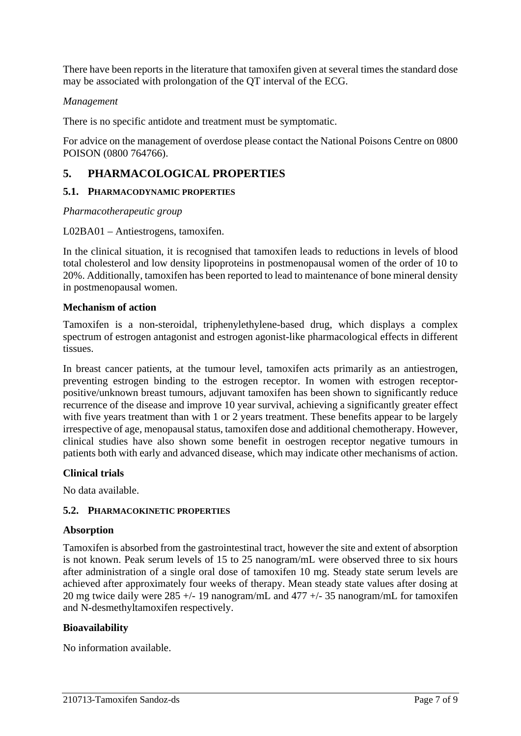There have been reports in the literature that tamoxifen given at several times the standard dose may be associated with prolongation of the QT interval of the ECG.

### *Management*

There is no specific antidote and treatment must be symptomatic.

For advice on the management of overdose please contact the National Poisons Centre on 0800 POISON (0800 764766).

## **5. PHARMACOLOGICAL PROPERTIES**

#### **5.1. PHARMACODYNAMIC PROPERTIES**

*Pharmacotherapeutic group* 

#### L02BA01 – Antiestrogens, tamoxifen.

In the clinical situation, it is recognised that tamoxifen leads to reductions in levels of blood total cholesterol and low density lipoproteins in postmenopausal women of the order of 10 to 20%. Additionally, tamoxifen has been reported to lead to maintenance of bone mineral density in postmenopausal women.

#### **Mechanism of action**

Tamoxifen is a non-steroidal, triphenylethylene-based drug, which displays a complex spectrum of estrogen antagonist and estrogen agonist-like pharmacological effects in different tissues.

In breast cancer patients, at the tumour level, tamoxifen acts primarily as an antiestrogen, preventing estrogen binding to the estrogen receptor. In women with estrogen receptorpositive/unknown breast tumours, adjuvant tamoxifen has been shown to significantly reduce recurrence of the disease and improve 10 year survival, achieving a significantly greater effect with five years treatment than with 1 or 2 years treatment. These benefits appear to be largely irrespective of age, menopausal status, tamoxifen dose and additional chemotherapy. However, clinical studies have also shown some benefit in oestrogen receptor negative tumours in patients both with early and advanced disease, which may indicate other mechanisms of action.

#### **Clinical trials**

No data available.

#### **5.2. PHARMACOKINETIC PROPERTIES**

#### **Absorption**

Tamoxifen is absorbed from the gastrointestinal tract, however the site and extent of absorption is not known. Peak serum levels of 15 to 25 nanogram/mL were observed three to six hours after administration of a single oral dose of tamoxifen 10 mg. Steady state serum levels are achieved after approximately four weeks of therapy. Mean steady state values after dosing at 20 mg twice daily were  $285 +/- 19$  nanogram/mL and  $477 +/- 35$  nanogram/mL for tamoxifen and N-desmethyltamoxifen respectively.

#### **Bioavailability**

No information available.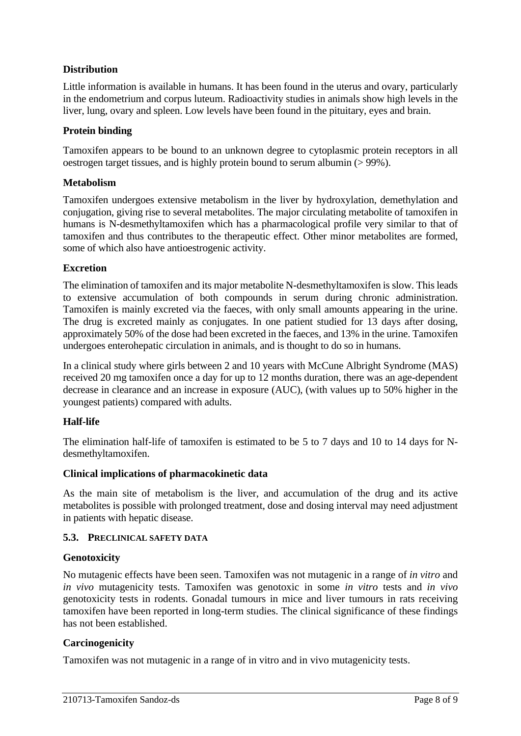## **Distribution**

Little information is available in humans. It has been found in the uterus and ovary, particularly in the endometrium and corpus luteum. Radioactivity studies in animals show high levels in the liver, lung, ovary and spleen. Low levels have been found in the pituitary, eyes and brain.

### **Protein binding**

Tamoxifen appears to be bound to an unknown degree to cytoplasmic protein receptors in all oestrogen target tissues, and is highly protein bound to serum albumin (> 99%).

### **Metabolism**

Tamoxifen undergoes extensive metabolism in the liver by hydroxylation, demethylation and conjugation, giving rise to several metabolites. The major circulating metabolite of tamoxifen in humans is N-desmethyltamoxifen which has a pharmacological profile very similar to that of tamoxifen and thus contributes to the therapeutic effect. Other minor metabolites are formed, some of which also have antioestrogenic activity.

### **Excretion**

The elimination of tamoxifen and its major metabolite N-desmethyltamoxifen is slow. This leads to extensive accumulation of both compounds in serum during chronic administration. Tamoxifen is mainly excreted via the faeces, with only small amounts appearing in the urine. The drug is excreted mainly as conjugates. In one patient studied for 13 days after dosing, approximately 50% of the dose had been excreted in the faeces, and 13% in the urine. Tamoxifen undergoes enterohepatic circulation in animals, and is thought to do so in humans.

In a clinical study where girls between 2 and 10 years with McCune Albright Syndrome (MAS) received 20 mg tamoxifen once a day for up to 12 months duration, there was an age-dependent decrease in clearance and an increase in exposure (AUC), (with values up to 50% higher in the youngest patients) compared with adults.

## **Half-life**

The elimination half-life of tamoxifen is estimated to be 5 to 7 days and 10 to 14 days for Ndesmethyltamoxifen.

#### **Clinical implications of pharmacokinetic data**

As the main site of metabolism is the liver, and accumulation of the drug and its active metabolites is possible with prolonged treatment, dose and dosing interval may need adjustment in patients with hepatic disease.

#### **5.3. PRECLINICAL SAFETY DATA**

## **Genotoxicity**

No mutagenic effects have been seen. Tamoxifen was not mutagenic in a range of *in vitro* and *in vivo* mutagenicity tests. Tamoxifen was genotoxic in some *in vitro* tests and *in vivo* genotoxicity tests in rodents. Gonadal tumours in mice and liver tumours in rats receiving tamoxifen have been reported in long-term studies. The clinical significance of these findings has not been established.

## **Carcinogenicity**

Tamoxifen was not mutagenic in a range of in vitro and in vivo mutagenicity tests.